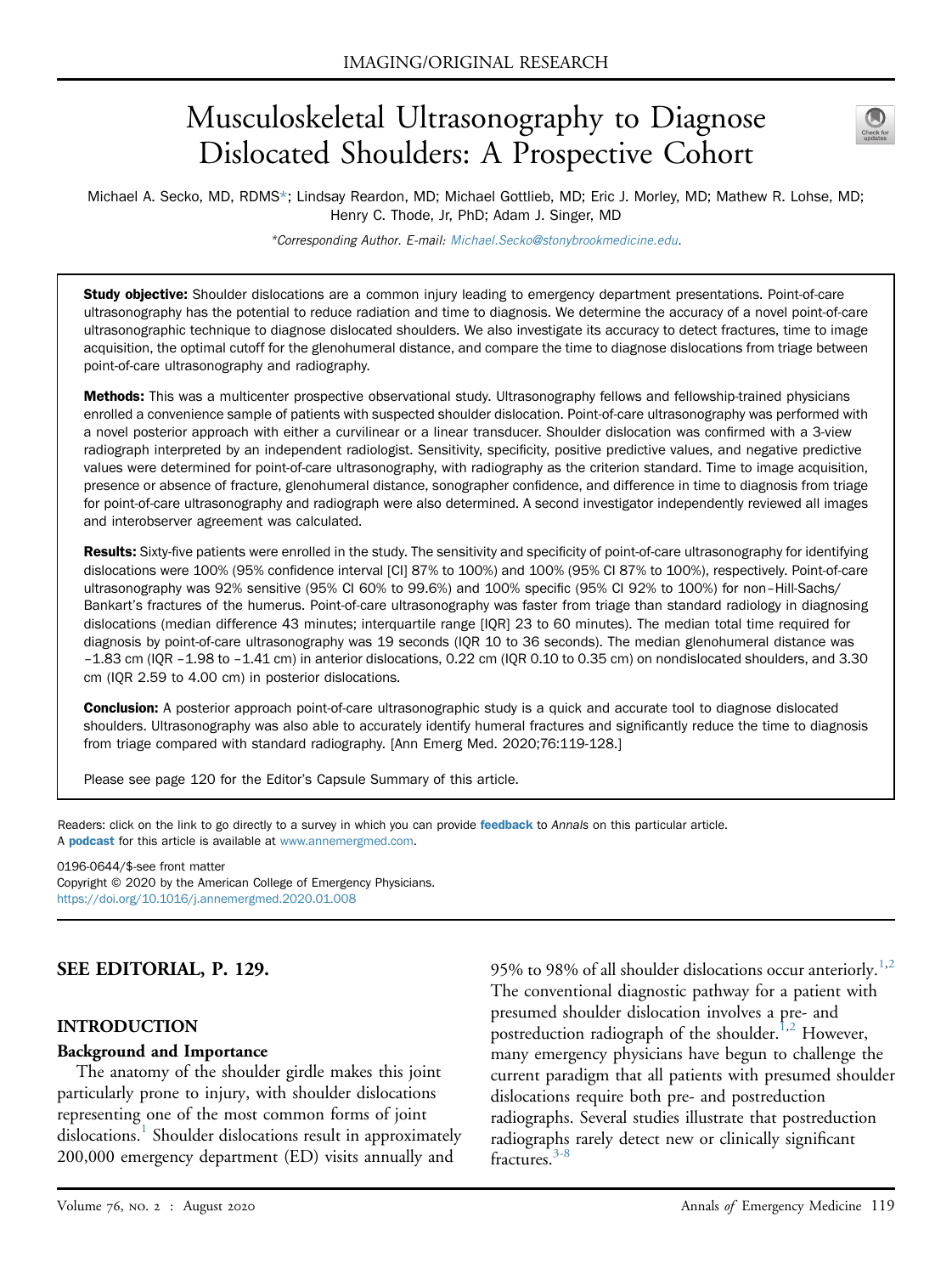# Musculoskeletal Ultrasonography to Diagnose Dislocated Shoulders: A Prospective Cohort



Michael A. Secko, MD, RDMS\*; Lindsay Reardon, MD; Michael Gottlieb, MD; Eric J. Morley, MD; Mathew R. Lohse, MD; Henry C. Thode, Jr, PhD; Adam J. Singer, MD

\*Corresponding Author. E-mail: [Michael.Secko@stonybrookmedicine.edu.](mailto:Michael.Secko@stonybrookmedicine.edu)

Study objective: Shoulder dislocations are a common injury leading to emergency department presentations. Point-of-care ultrasonography has the potential to reduce radiation and time to diagnosis. We determine the accuracy of a novel point-of-care ultrasonographic technique to diagnose dislocated shoulders. We also investigate its accuracy to detect fractures, time to image acquisition, the optimal cutoff for the glenohumeral distance, and compare the time to diagnose dislocations from triage between point-of-care ultrasonography and radiography.

Methods: This was a multicenter prospective observational study. Ultrasonography fellows and fellowship-trained physicians enrolled a convenience sample of patients with suspected shoulder dislocation. Point-of-care ultrasonography was performed with a novel posterior approach with either a curvilinear or a linear transducer. Shoulder dislocation was confirmed with a 3-view radiograph interpreted by an independent radiologist. Sensitivity, specificity, positive predictive values, and negative predictive values were determined for point-of-care ultrasonography, with radiography as the criterion standard. Time to image acquisition, presence or absence of fracture, glenohumeral distance, sonographer confidence, and difference in time to diagnosis from triage for point-of-care ultrasonography and radiograph were also determined. A second investigator independently reviewed all images and interobserver agreement was calculated.

Results: Sixty-five patients were enrolled in the study. The sensitivity and specificity of point-of-care ultrasonography for identifying dislocations were 100% (95% confidence interval [CI] 87% to 100%) and 100% (95% CI 87% to 100%), respectively. Point-of-care ultrasonography was 92% sensitive (95% CI 60% to 99.6%) and 100% specific (95% CI 92% to 100%) for non–Hill-Sachs/ Bankart's fractures of the humerus. Point-of-care ultrasonography was faster from triage than standard radiology in diagnosing dislocations (median difference 43 minutes; interquartile range [IQR] 23 to 60 minutes). The median total time required for diagnosis by point-of-care ultrasonography was 19 seconds (IQR 10 to 36 seconds). The median glenohumeral distance was –1.83 cm (IQR –1.98 to –1.41 cm) in anterior dislocations, 0.22 cm (IQR 0.10 to 0.35 cm) on nondislocated shoulders, and 3.30 cm (IQR 2.59 to 4.00 cm) in posterior dislocations.

Conclusion: A posterior approach point-of-care ultrasonographic study is a quick and accurate tool to diagnose dislocated shoulders. Ultrasonography was also able to accurately identify humeral fractures and significantly reduce the time to diagnosis from triage compared with standard radiography. [Ann Emerg Med. 2020;76:119-128.]

Please see page 120 for the Editor's Capsule Summary of this article.

Readers: click on the link to go directly to a survey in which you can provide [feedback](https://www.surveymonkey.com/r/PT2YX56) to Annals on this particular article. A **[podcast](http://annemergmed.com/content/podcast)** for this article is available at [www.annemergmed.com](http://www.annemergmed.com).

0196-0644/\$-see front matter

Copyright © 2020 by the American College of Emergency Physicians. <https://doi.org/10.1016/j.annemergmed.2020.01.008>

#### SEE EDITORIAL, P. 129.

#### INTRODUCTION

#### Background and Importance

The anatomy of the shoulder girdle makes this joint particularly prone to injury, with shoulder dislocations representing one of the most common forms of joint dislocations.<sup>[1](#page-9-0)</sup> Shoulder dislocations result in approximately 200,000 emergency department (ED) visits annually and

95% to 98% of all shoulder dislocations occur anteriorly.<sup>[1,](#page-9-0)[2](#page-9-1)</sup> The conventional diagnostic pathway for a patient with presumed shoulder dislocation involves a pre- and postreduction radiograph of the shoulder.<sup>[1](#page-9-0)[,2](#page-9-1)</sup> However, many emergency physicians have begun to challenge the current paradigm that all patients with presumed shoulder dislocations require both pre- and postreduction radiographs. Several studies illustrate that postreduction radiographs rarely detect new or clinically significant fractures.<sup>[3-8](#page-9-2)</sup>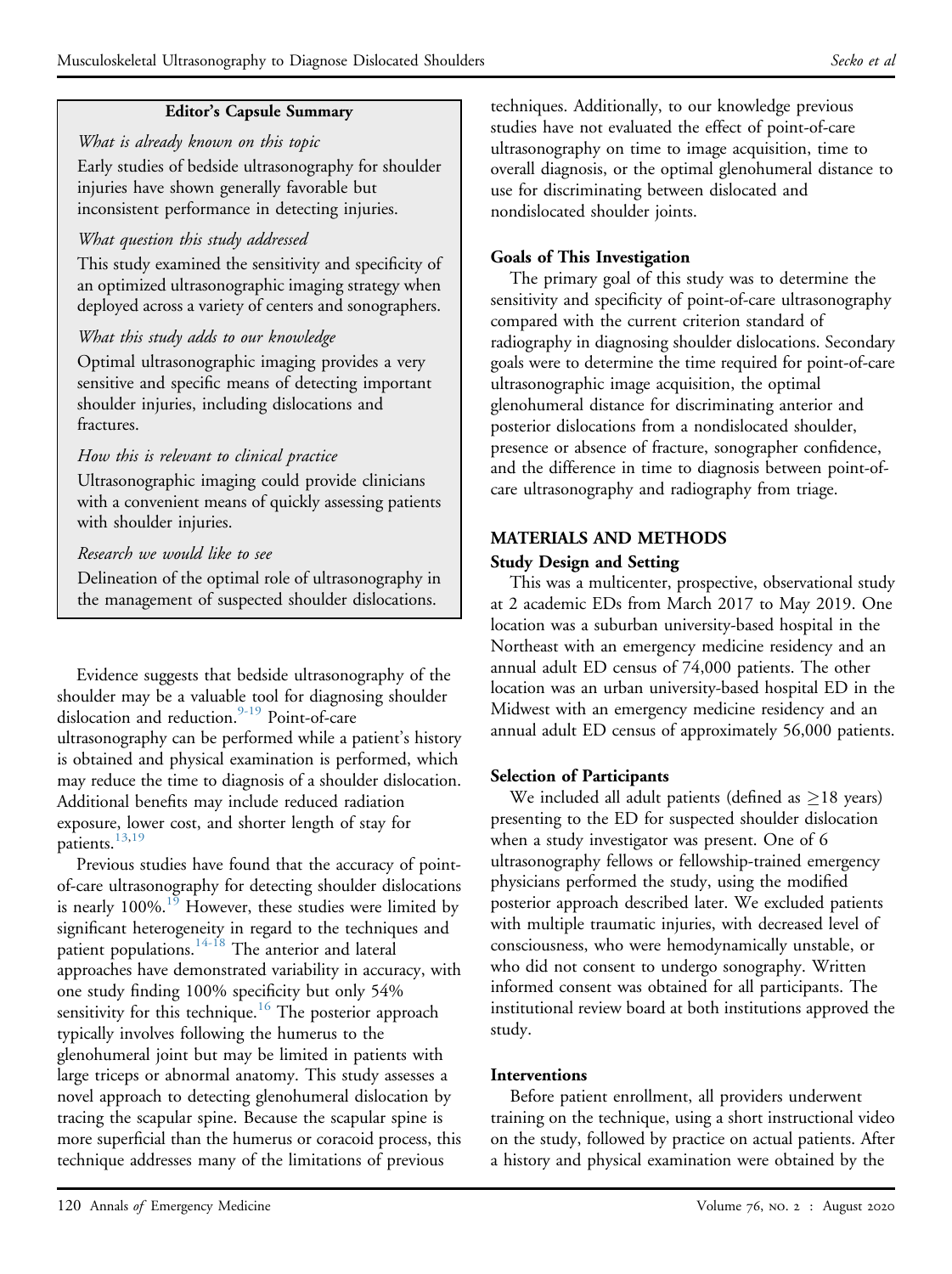### Editor's Capsule Summary

What is already known on this topic Early studies of bedside ultrasonography for shoulder injuries have shown generally favorable but inconsistent performance in detecting injuries.

## What question this study addressed

This study examined the sensitivity and specificity of an optimized ultrasonographic imaging strategy when deployed across a variety of centers and sonographers.

### What this study adds to our knowledge

Optimal ultrasonographic imaging provides a very sensitive and specific means of detecting important shoulder injuries, including dislocations and fractures.

### How this is relevant to clinical practice

Ultrasonographic imaging could provide clinicians with a convenient means of quickly assessing patients with shoulder injuries.

### Research we would like to see

Delineation of the optimal role of ultrasonography in the management of suspected shoulder dislocations.

Evidence suggests that bedside ultrasonography of the shoulder may be a valuable tool for diagnosing shoulder dislocation and reduction.<sup>[9-19](#page-9-3)</sup> Point-of-care ultrasonography can be performed while a patient's history is obtained and physical examination is performed, which may reduce the time to diagnosis of a shoulder dislocation. Additional benefits may include reduced radiation exposure, lower cost, and shorter length of stay for patients.<sup>13,[19](#page-9-5)</sup>

Previous studies have found that the accuracy of pointof-care ultrasonography for detecting shoulder dislocations is nearly 100%.<sup>19</sup> However, these studies were limited by significant heterogeneity in regard to the techniques and patient populations.<sup>[14-18](#page-9-6)</sup> The anterior and lateral approaches have demonstrated variability in accuracy, with one study finding 100% specificity but only 54% sensitivity for this technique.<sup>16</sup> The posterior approach typically involves following the humerus to the glenohumeral joint but may be limited in patients with large triceps or abnormal anatomy. This study assesses a novel approach to detecting glenohumeral dislocation by tracing the scapular spine. Because the scapular spine is more superficial than the humerus or coracoid process, this technique addresses many of the limitations of previous

techniques. Additionally, to our knowledge previous studies have not evaluated the effect of point-of-care ultrasonography on time to image acquisition, time to overall diagnosis, or the optimal glenohumeral distance to use for discriminating between dislocated and nondislocated shoulder joints.

# Goals of This Investigation

The primary goal of this study was to determine the sensitivity and specificity of point-of-care ultrasonography compared with the current criterion standard of radiography in diagnosing shoulder dislocations. Secondary goals were to determine the time required for point-of-care ultrasonographic image acquisition, the optimal glenohumeral distance for discriminating anterior and posterior dislocations from a nondislocated shoulder, presence or absence of fracture, sonographer confidence, and the difference in time to diagnosis between point-ofcare ultrasonography and radiography from triage.

# MATERIALS AND METHODS

### Study Design and Setting

This was a multicenter, prospective, observational study at 2 academic EDs from March 2017 to May 2019. One location was a suburban university-based hospital in the Northeast with an emergency medicine residency and an annual adult ED census of 74,000 patients. The other location was an urban university-based hospital ED in the Midwest with an emergency medicine residency and an annual adult ED census of approximately 56,000 patients.

# Selection of Participants

We included all adult patients (defined as  $\geq$ 18 years) presenting to the ED for suspected shoulder dislocation when a study investigator was present. One of 6 ultrasonography fellows or fellowship-trained emergency physicians performed the study, using the modified posterior approach described later. We excluded patients with multiple traumatic injuries, with decreased level of consciousness, who were hemodynamically unstable, or who did not consent to undergo sonography. Written informed consent was obtained for all participants. The institutional review board at both institutions approved the study.

#### Interventions

Before patient enrollment, all providers underwent training on the technique, using a short instructional video on the study, followed by practice on actual patients. After a history and physical examination were obtained by the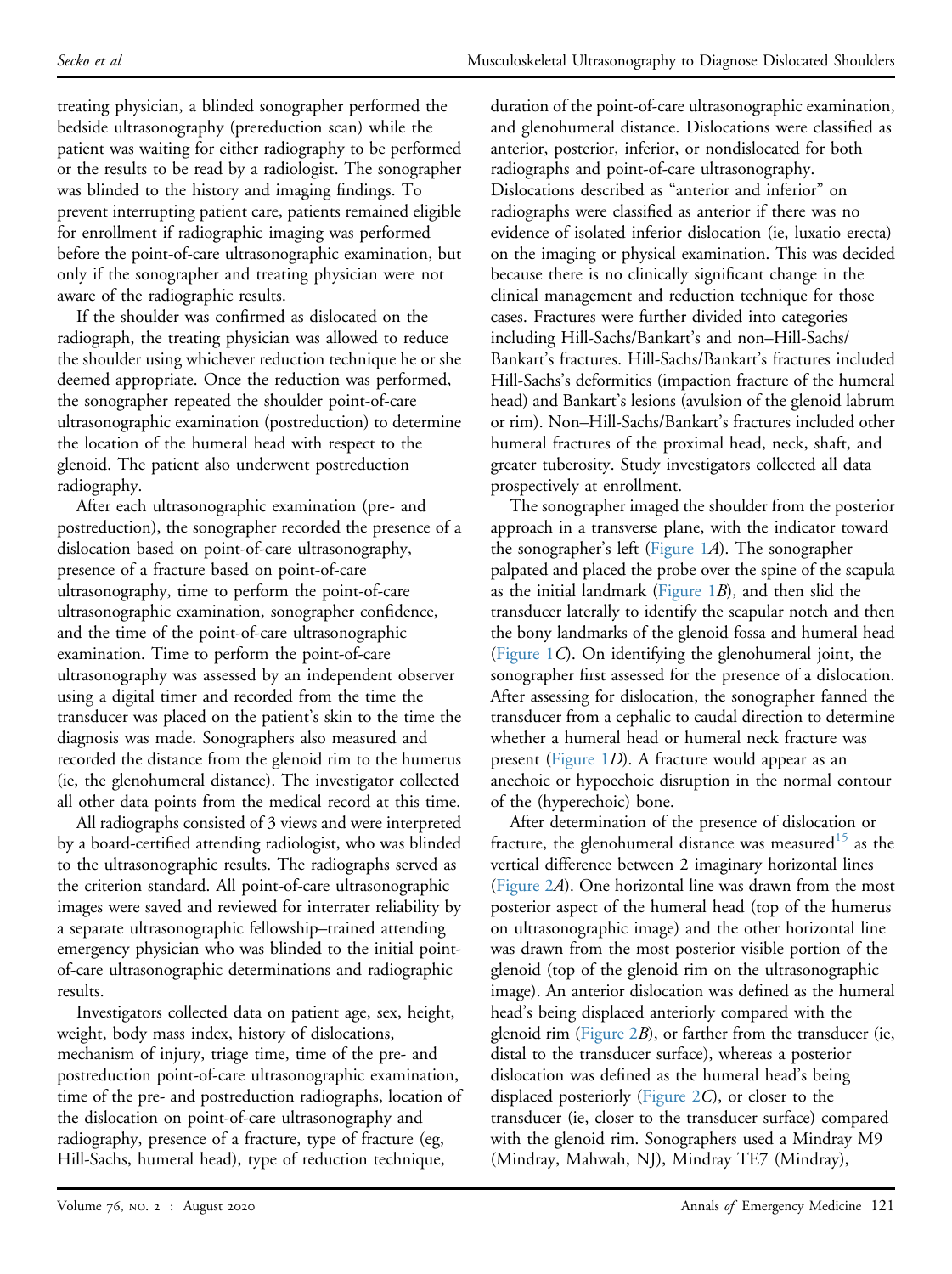treating physician, a blinded sonographer performed the bedside ultrasonography (prereduction scan) while the patient was waiting for either radiography to be performed or the results to be read by a radiologist. The sonographer was blinded to the history and imaging findings. To prevent interrupting patient care, patients remained eligible for enrollment if radiographic imaging was performed before the point-of-care ultrasonographic examination, but only if the sonographer and treating physician were not aware of the radiographic results.

If the shoulder was confirmed as dislocated on the radiograph, the treating physician was allowed to reduce the shoulder using whichever reduction technique he or she deemed appropriate. Once the reduction was performed, the sonographer repeated the shoulder point-of-care ultrasonographic examination (postreduction) to determine the location of the humeral head with respect to the glenoid. The patient also underwent postreduction radiography.

After each ultrasonographic examination (pre- and postreduction), the sonographer recorded the presence of a dislocation based on point-of-care ultrasonography, presence of a fracture based on point-of-care ultrasonography, time to perform the point-of-care ultrasonographic examination, sonographer confidence, and the time of the point-of-care ultrasonographic examination. Time to perform the point-of-care ultrasonography was assessed by an independent observer using a digital timer and recorded from the time the transducer was placed on the patient's skin to the time the diagnosis was made. Sonographers also measured and recorded the distance from the glenoid rim to the humerus (ie, the glenohumeral distance). The investigator collected all other data points from the medical record at this time.

All radiographs consisted of 3 views and were interpreted by a board-certified attending radiologist, who was blinded to the ultrasonographic results. The radiographs served as the criterion standard. All point-of-care ultrasonographic images were saved and reviewed for interrater reliability by a separate ultrasonographic fellowship–trained attending emergency physician who was blinded to the initial pointof-care ultrasonographic determinations and radiographic results.

Investigators collected data on patient age, sex, height, weight, body mass index, history of dislocations, mechanism of injury, triage time, time of the pre- and postreduction point-of-care ultrasonographic examination, time of the pre- and postreduction radiographs, location of the dislocation on point-of-care ultrasonography and radiography, presence of a fracture, type of fracture (eg, Hill-Sachs, humeral head), type of reduction technique,

duration of the point-of-care ultrasonographic examination, and glenohumeral distance. Dislocations were classified as anterior, posterior, inferior, or nondislocated for both radiographs and point-of-care ultrasonography. Dislocations described as "anterior and inferior" on radiographs were classified as anterior if there was no evidence of isolated inferior dislocation (ie, luxatio erecta) on the imaging or physical examination. This was decided because there is no clinically significant change in the clinical management and reduction technique for those cases. Fractures were further divided into categories including Hill-Sachs/Bankart's and non–Hill-Sachs/ Bankart's fractures. Hill-Sachs/Bankart's fractures included Hill-Sachs's deformities (impaction fracture of the humeral head) and Bankart's lesions (avulsion of the glenoid labrum or rim). Non–Hill-Sachs/Bankart's fractures included other humeral fractures of the proximal head, neck, shaft, and greater tuberosity. Study investigators collected all data prospectively at enrollment.

The sonographer imaged the shoulder from the posterior approach in a transverse plane, with the indicator toward the sonographer's left ([Figure 1](#page-3-0)A). The sonographer palpated and placed the probe over the spine of the scapula as the initial landmark (Figure  $1B$ ), and then slid the transducer laterally to identify the scapular notch and then the bony landmarks of the glenoid fossa and humeral head ([Figure 1](#page-3-0)C). On identifying the glenohumeral joint, the sonographer first assessed for the presence of a dislocation. After assessing for dislocation, the sonographer fanned the transducer from a cephalic to caudal direction to determine whether a humeral head or humeral neck fracture was present ([Figure 1](#page-3-0)D). A fracture would appear as an anechoic or hypoechoic disruption in the normal contour of the (hyperechoic) bone.

After determination of the presence of dislocation or fracture, the glenohumeral distance was measured<sup>[15](#page-9-8)</sup> as the vertical difference between 2 imaginary horizontal lines ([Figure 2](#page-4-0)A). One horizontal line was drawn from the most posterior aspect of the humeral head (top of the humerus on ultrasonographic image) and the other horizontal line was drawn from the most posterior visible portion of the glenoid (top of the glenoid rim on the ultrasonographic image). An anterior dislocation was defined as the humeral head's being displaced anteriorly compared with the glenoid rim (Figure  $2B$ ), or farther from the transducer (ie, distal to the transducer surface), whereas a posterior dislocation was defined as the humeral head's being displaced posteriorly ([Figure 2](#page-4-0)C), or closer to the transducer (ie, closer to the transducer surface) compared with the glenoid rim. Sonographers used a Mindray M9 (Mindray, Mahwah, NJ), Mindray TE7 (Mindray),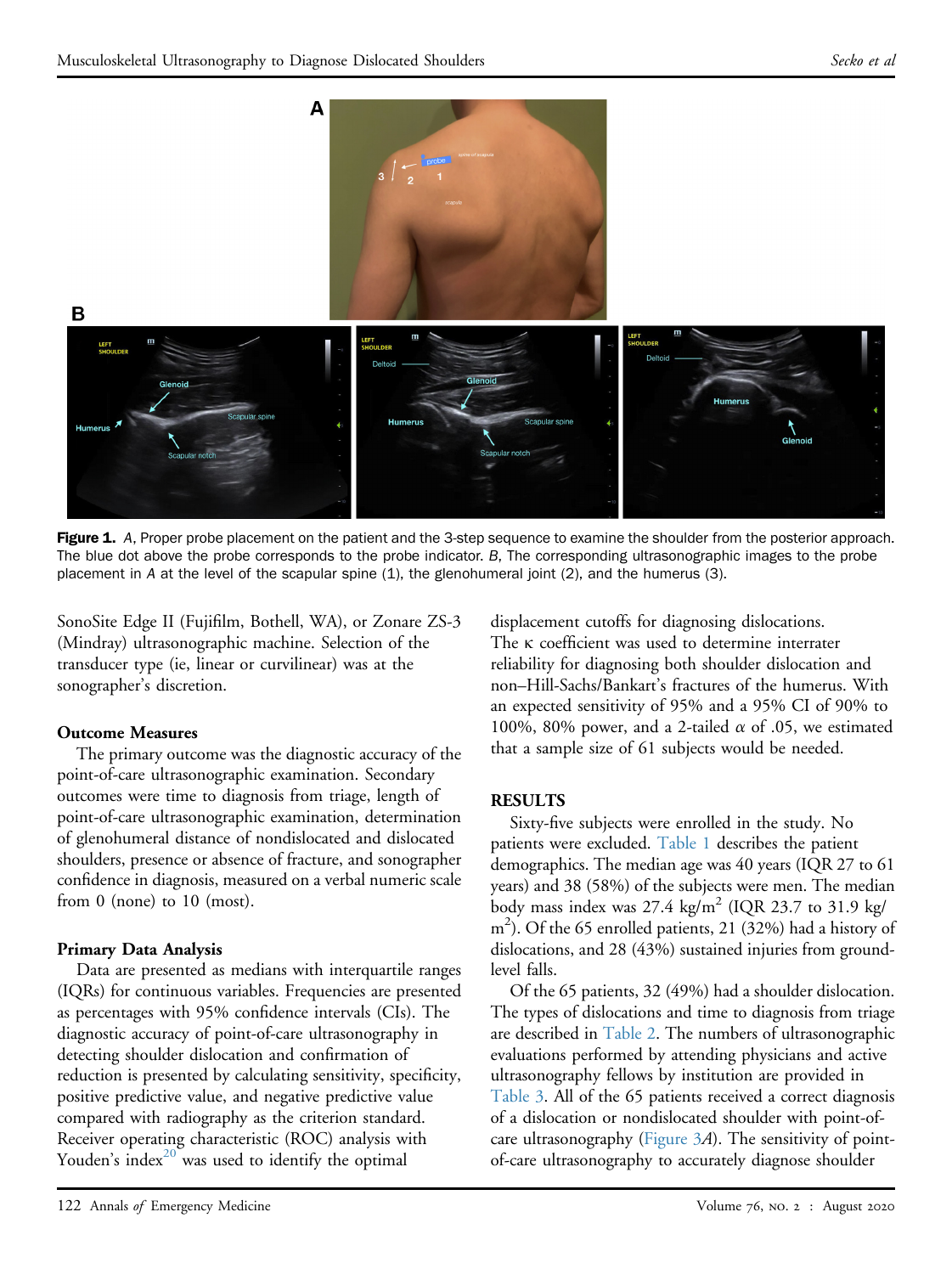<span id="page-3-0"></span>

Figure 1. A, Proper probe placement on the patient and the 3-step sequence to examine the shoulder from the posterior approach. The blue dot above the probe corresponds to the probe indicator. B, The corresponding ultrasonographic images to the probe placement in A at the level of the scapular spine (1), the glenohumeral joint (2), and the humerus (3).

SonoSite Edge II (Fujifilm, Bothell, WA), or Zonare ZS-3 (Mindray) ultrasonographic machine. Selection of the transducer type (ie, linear or curvilinear) was at the sonographer's discretion.

#### Outcome Measures

The primary outcome was the diagnostic accuracy of the point-of-care ultrasonographic examination. Secondary outcomes were time to diagnosis from triage, length of point-of-care ultrasonographic examination, determination of glenohumeral distance of nondislocated and dislocated shoulders, presence or absence of fracture, and sonographer confidence in diagnosis, measured on a verbal numeric scale from 0 (none) to 10 (most).

#### Primary Data Analysis

Data are presented as medians with interquartile ranges (IQRs) for continuous variables. Frequencies are presented as percentages with 95% confidence intervals (CIs). The diagnostic accuracy of point-of-care ultrasonography in detecting shoulder dislocation and confirmation of reduction is presented by calculating sensitivity, specificity, positive predictive value, and negative predictive value compared with radiography as the criterion standard. Receiver operating characteristic (ROC) analysis with Youden's index<sup>[20](#page-9-9)</sup> was used to identify the optimal

displacement cutoffs for diagnosing dislocations. The K coefficient was used to determine interrater reliability for diagnosing both shoulder dislocation and non–Hill-Sachs/Bankart's fractures of the humerus. With an expected sensitivity of 95% and a 95% CI of 90% to 100%, 80% power, and a 2-tailed  $\alpha$  of .05, we estimated that a sample size of 61 subjects would be needed.

#### **RESULTS**

Sixty-five subjects were enrolled in the study. No patients were excluded. [Table 1](#page-5-0) describes the patient demographics. The median age was 40 years (IQR 27 to 61 years) and 38 (58%) of the subjects were men. The median body mass index was  $27.4 \text{ kg/m}^2$  (IQR 23.7 to 31.9 kg/ m<sup>2</sup>). Of the 65 enrolled patients, 21 (32%) had a history of dislocations, and 28 (43%) sustained injuries from groundlevel falls.

Of the 65 patients, 32 (49%) had a shoulder dislocation. The types of dislocations and time to diagnosis from triage are described in [Table 2](#page-5-1). The numbers of ultrasonographic evaluations performed by attending physicians and active ultrasonography fellows by institution are provided in [Table 3](#page-5-2). All of the 65 patients received a correct diagnosis of a dislocation or nondislocated shoulder with point-ofcare ultrasonography ([Figure 3](#page-6-0)A). The sensitivity of pointof-care ultrasonography to accurately diagnose shoulder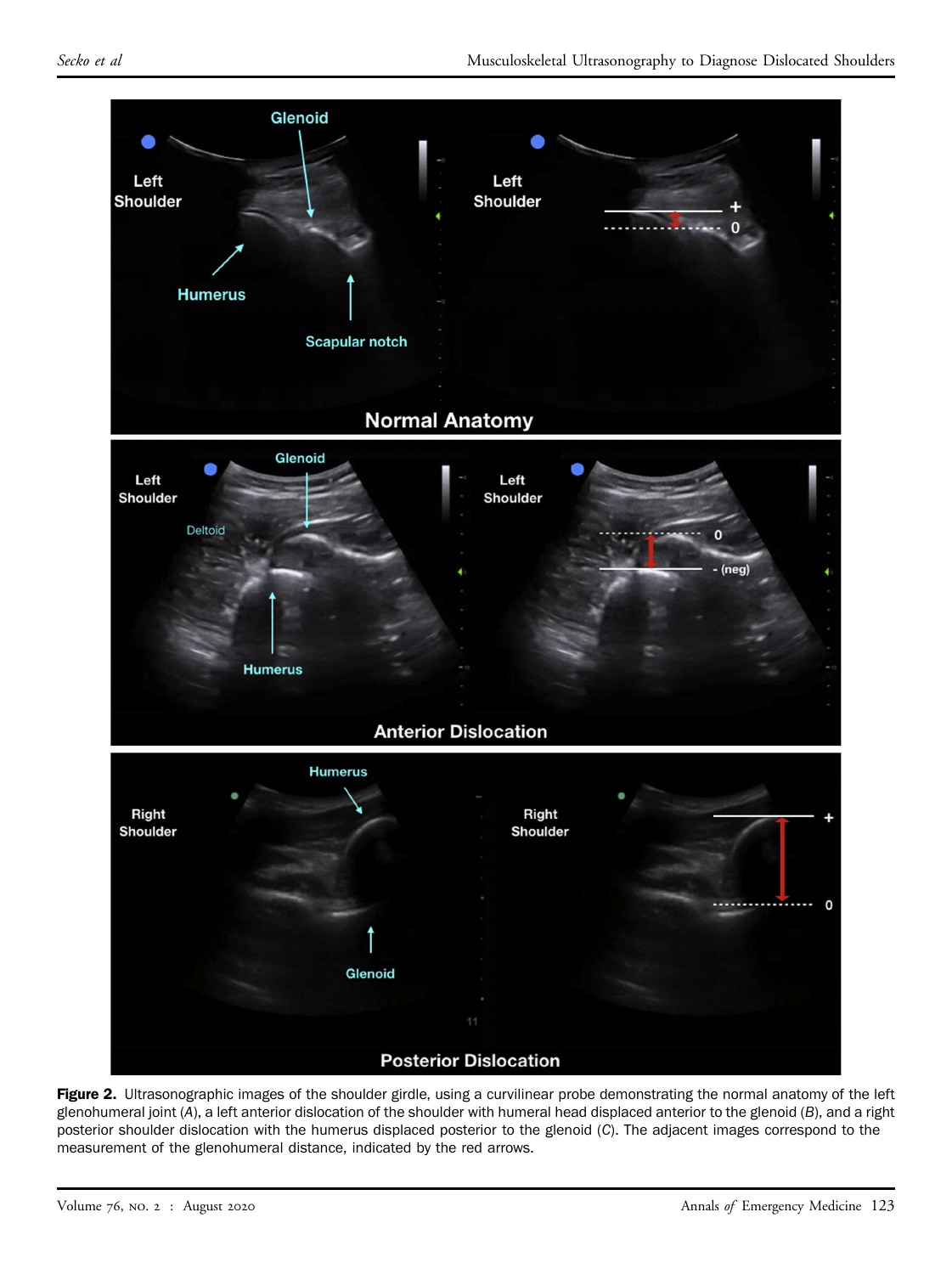<span id="page-4-0"></span>

Figure 2. Ultrasonographic images of the shoulder girdle, using a curvilinear probe demonstrating the normal anatomy of the left glenohumeral joint (A), a left anterior dislocation of the shoulder with humeral head displaced anterior to the glenoid (B), and a right posterior shoulder dislocation with the humerus displaced posterior to the glenoid (C). The adjacent images correspond to the measurement of the glenohumeral distance, indicated by the red arrows.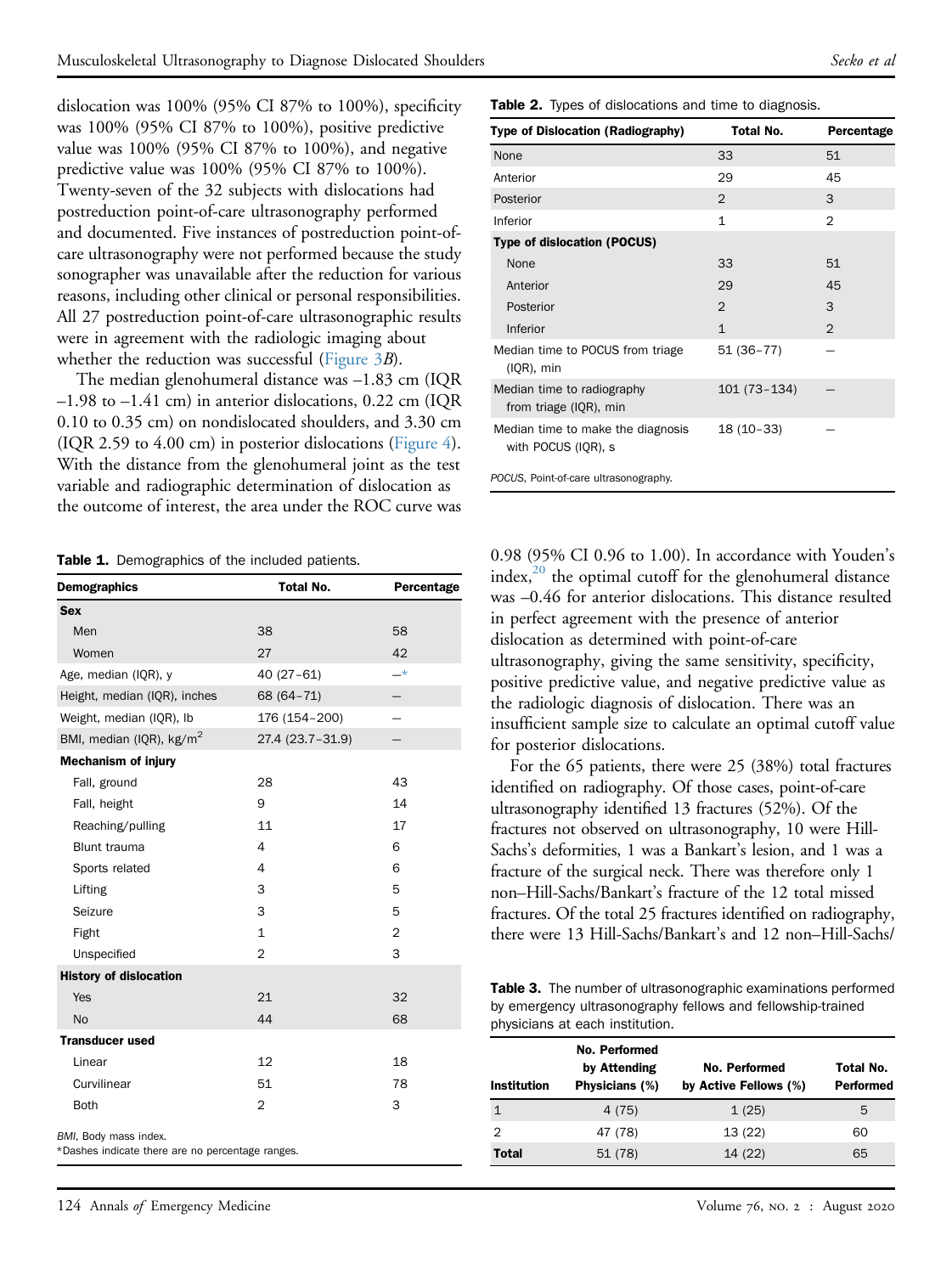dislocation was 100% (95% CI 87% to 100%), specificity was 100% (95% CI 87% to 100%), positive predictive value was 100% (95% CI 87% to 100%), and negative predictive value was 100% (95% CI 87% to 100%). Twenty-seven of the 32 subjects with dislocations had postreduction point-of-care ultrasonography performed and documented. Five instances of postreduction point-ofcare ultrasonography were not performed because the study sonographer was unavailable after the reduction for various reasons, including other clinical or personal responsibilities. All 27 postreduction point-of-care ultrasonographic results were in agreement with the radiologic imaging about whether the reduction was successful (Figure  $3B$ ).

The median glenohumeral distance was –1.83 cm (IQR –1.98 to –1.41 cm) in anterior dislocations, 0.22 cm (IQR 0.10 to 0.35 cm) on nondislocated shoulders, and 3.30 cm (IQR 2.59 to 4.00 cm) in posterior dislocations [\(Figure 4](#page-6-1)). With the distance from the glenohumeral joint as the test variable and radiographic determination of dislocation as the outcome of interest, the area under the ROC curve was

Table 1. Demographics of the included patients.

| <b>Demographics</b>                                                       | <b>Total No.</b> | Percentage     |
|---------------------------------------------------------------------------|------------------|----------------|
| <b>Sex</b>                                                                |                  |                |
| Men                                                                       | 38               | 58             |
| Women                                                                     | 27               | 42             |
| Age, median (IQR), y                                                      | $40(27-61)$      | $\rightarrow$  |
| Height, median (IQR), inches                                              | 68 (64-71)       |                |
| Weight, median (IQR), Ib                                                  | 176 (154-200)    |                |
| BMI, median (IQR), kg/m <sup>2</sup>                                      | 27.4 (23.7-31.9) |                |
| <b>Mechanism of injury</b>                                                |                  |                |
| Fall, ground                                                              | 28               | 43             |
| Fall, height                                                              | 9                | 14             |
| Reaching/pulling                                                          | 11               | 17             |
| <b>Blunt trauma</b>                                                       | 4                | 6              |
| Sports related                                                            | 4                | 6              |
| Lifting                                                                   | 3                | 5              |
| Seizure                                                                   | 3                | 5              |
| Fight                                                                     | $\mathbf{1}$     | $\overline{2}$ |
| Unspecified                                                               | $\overline{2}$   | 3              |
| <b>History of dislocation</b>                                             |                  |                |
| Yes                                                                       | 21               | 32             |
| N <sub>o</sub>                                                            | 44               | 68             |
| <b>Transducer used</b>                                                    |                  |                |
| Linear                                                                    | 12               | 18             |
| Curvilinear                                                               | 51               | 78             |
| <b>Both</b>                                                               | $\overline{2}$   | 3              |
| BMI, Body mass index.<br>*Dashes indicate there are no percentage ranges. |                  |                |

Table 2. Types of dislocations and time to diagnosis.

| Type of Dislocation (Radiography)                        | Total No.      | Percentage     |
|----------------------------------------------------------|----------------|----------------|
| None                                                     | 33             | 51             |
| Anterior                                                 | 29             | 45             |
| Posterior                                                | $\overline{2}$ | 3              |
| Inferior                                                 | 1              | $\overline{2}$ |
| Type of dislocation (POCUS)                              |                |                |
| None                                                     | 33             | 51             |
| Anterior                                                 | 29             | 45             |
| Posterior                                                | $\overline{2}$ | 3              |
| Inferior                                                 | $\mathbf{1}$   | $\mathfrak{D}$ |
| Median time to POCUS from triage<br>$(IQR)$ , min        | 51 (36-77)     |                |
| Median time to radiography<br>from triage (IQR), min     | 101 (73-134)   |                |
| Median time to make the diagnosis<br>with POCUS (IQR), s | $18(10-33)$    |                |
| POCUS, Point-of-care ultrasonography.                    |                |                |

<span id="page-5-1"></span>0.98 (95% CI 0.96 to 1.00). In accordance with Youden's index, $^{20}$  the optimal cutoff for the glenohumeral distance was –0.46 for anterior dislocations. This distance resulted in perfect agreement with the presence of anterior dislocation as determined with point-of-care ultrasonography, giving the same sensitivity, specificity, positive predictive value, and negative predictive value as the radiologic diagnosis of dislocation. There was an insufficient sample size to calculate an optimal cutoff value for posterior dislocations.

For the 65 patients, there were 25 (38%) total fractures identified on radiography. Of those cases, point-of-care ultrasonography identified 13 fractures (52%). Of the fractures not observed on ultrasonography, 10 were Hill-Sachs's deformities, 1 was a Bankart's lesion, and 1 was a fracture of the surgical neck. There was therefore only 1 non–Hill-Sachs/Bankart's fracture of the 12 total missed fractures. Of the total 25 fractures identified on radiography, there were 13 Hill-Sachs/Bankart's and 12 non–Hill-Sachs/

<span id="page-5-2"></span>Table 3. The number of ultrasonographic examinations performed by emergency ultrasonography fellows and fellowship-trained physicians at each institution.

<span id="page-5-3"></span><span id="page-5-0"></span>

| <b>Institution</b> | No. Performed<br>by Attending<br>Physicians (%) | No. Performed<br>by Active Fellows (%) | Total No.<br><b>Performed</b> |
|--------------------|-------------------------------------------------|----------------------------------------|-------------------------------|
|                    | 4 (75)                                          | 1(25)                                  | 5                             |
| 2                  | 47 (78)                                         | 13(22)                                 | 60                            |
| <b>Total</b>       | 51 (78)                                         | 14 (22)                                | 65                            |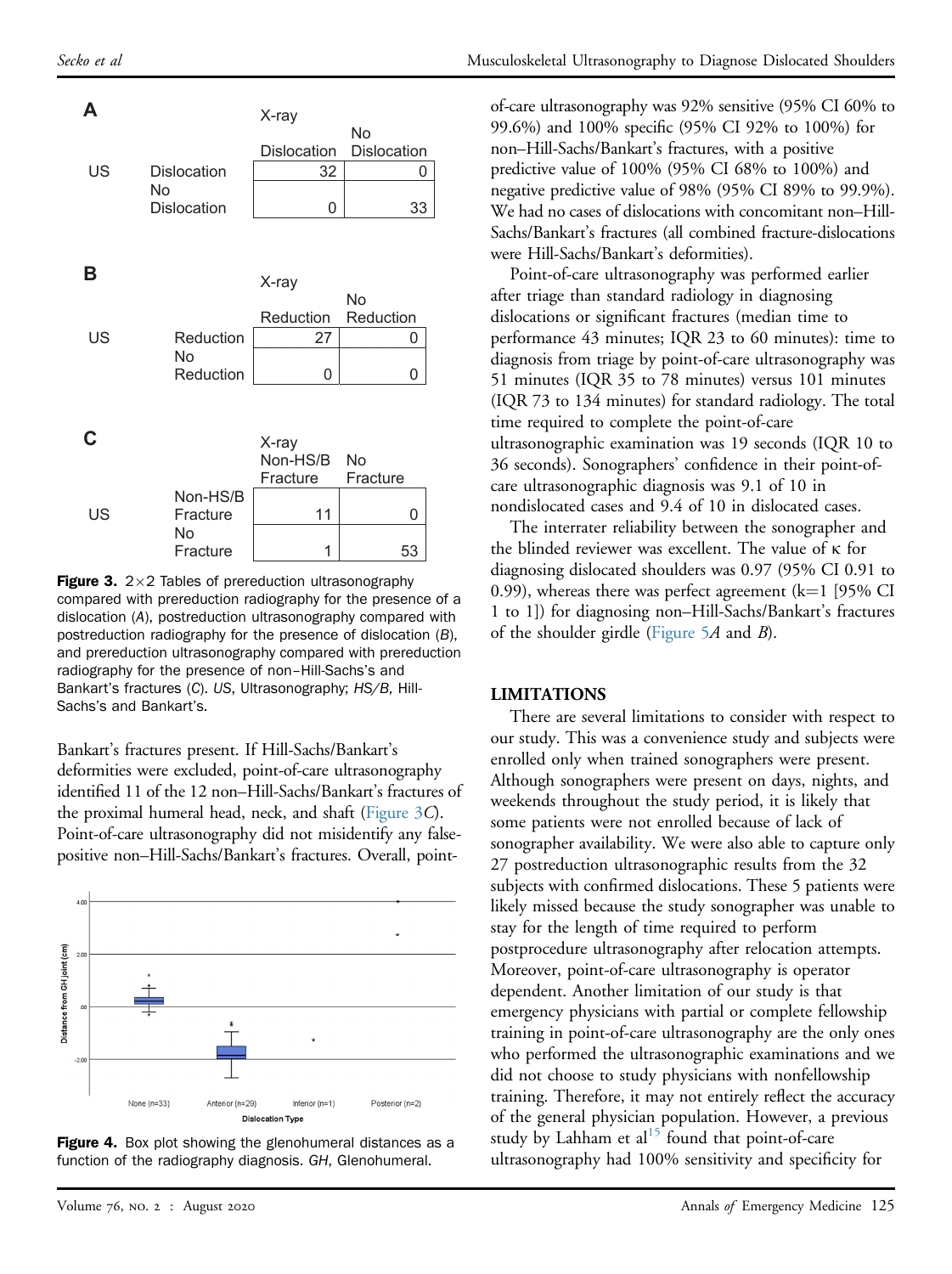<span id="page-6-0"></span>

**Figure 3.**  $2 \times 2$  Tables of prereduction ultrasonography compared with prereduction radiography for the presence of a dislocation (A), postreduction ultrasonography compared with postreduction radiography for the presence of dislocation (B), and prereduction ultrasonography compared with prereduction radiography for the presence of non–Hill-Sachs's and Bankart's fractures (C). US, Ultrasonography; HS/B, Hill-Sachs's and Bankart's.

Bankart's fractures present. If Hill-Sachs/Bankart's deformities were excluded, point-of-care ultrasonography identified 11 of the 12 non–Hill-Sachs/Bankart's fractures of the proximal humeral head, neck, and shaft ([Figure 3](#page-6-0)C). Point-of-care ultrasonography did not misidentify any falsepositive non–Hill-Sachs/Bankart's fractures. Overall, point-

<span id="page-6-1"></span>



of-care ultrasonography was 92% sensitive (95% CI 60% to 99.6%) and 100% specific (95% CI 92% to 100%) for non–Hill-Sachs/Bankart's fractures, with a positive predictive value of 100% (95% CI 68% to 100%) and negative predictive value of 98% (95% CI 89% to 99.9%). We had no cases of dislocations with concomitant non–Hill-Sachs/Bankart's fractures (all combined fracture-dislocations were Hill-Sachs/Bankart's deformities).

Point-of-care ultrasonography was performed earlier after triage than standard radiology in diagnosing dislocations or significant fractures (median time to performance 43 minutes; IQR 23 to 60 minutes): time to diagnosis from triage by point-of-care ultrasonography was 51 minutes (IQR 35 to 78 minutes) versus 101 minutes (IQR 73 to 134 minutes) for standard radiology. The total time required to complete the point-of-care ultrasonographic examination was 19 seconds (IQR 10 to 36 seconds). Sonographers' confidence in their point-ofcare ultrasonographic diagnosis was 9.1 of 10 in nondislocated cases and 9.4 of 10 in dislocated cases.

The interrater reliability between the sonographer and the blinded reviewer was excellent. The value of  $\kappa$  for diagnosing dislocated shoulders was 0.97 (95% CI 0.91 to 0.99), whereas there was perfect agreement  $(k=1]$  [95% CI 1 to 1]) for diagnosing non–Hill-Sachs/Bankart's fractures of the shoulder girdle (Figure  $5A$  and  $B$ ).

#### LIMITATIONS

There are several limitations to consider with respect to our study. This was a convenience study and subjects were enrolled only when trained sonographers were present. Although sonographers were present on days, nights, and weekends throughout the study period, it is likely that some patients were not enrolled because of lack of sonographer availability. We were also able to capture only 27 postreduction ultrasonographic results from the 32 subjects with confirmed dislocations. These 5 patients were likely missed because the study sonographer was unable to stay for the length of time required to perform postprocedure ultrasonography after relocation attempts. Moreover, point-of-care ultrasonography is operator dependent. Another limitation of our study is that emergency physicians with partial or complete fellowship training in point-of-care ultrasonography are the only ones who performed the ultrasonographic examinations and we did not choose to study physicians with nonfellowship training. Therefore, it may not entirely reflect the accuracy of the general physician population. However, a previous study by Lahham et al $^{15}$  $^{15}$  $^{15}$  found that point-of-care ultrasonography had 100% sensitivity and specificity for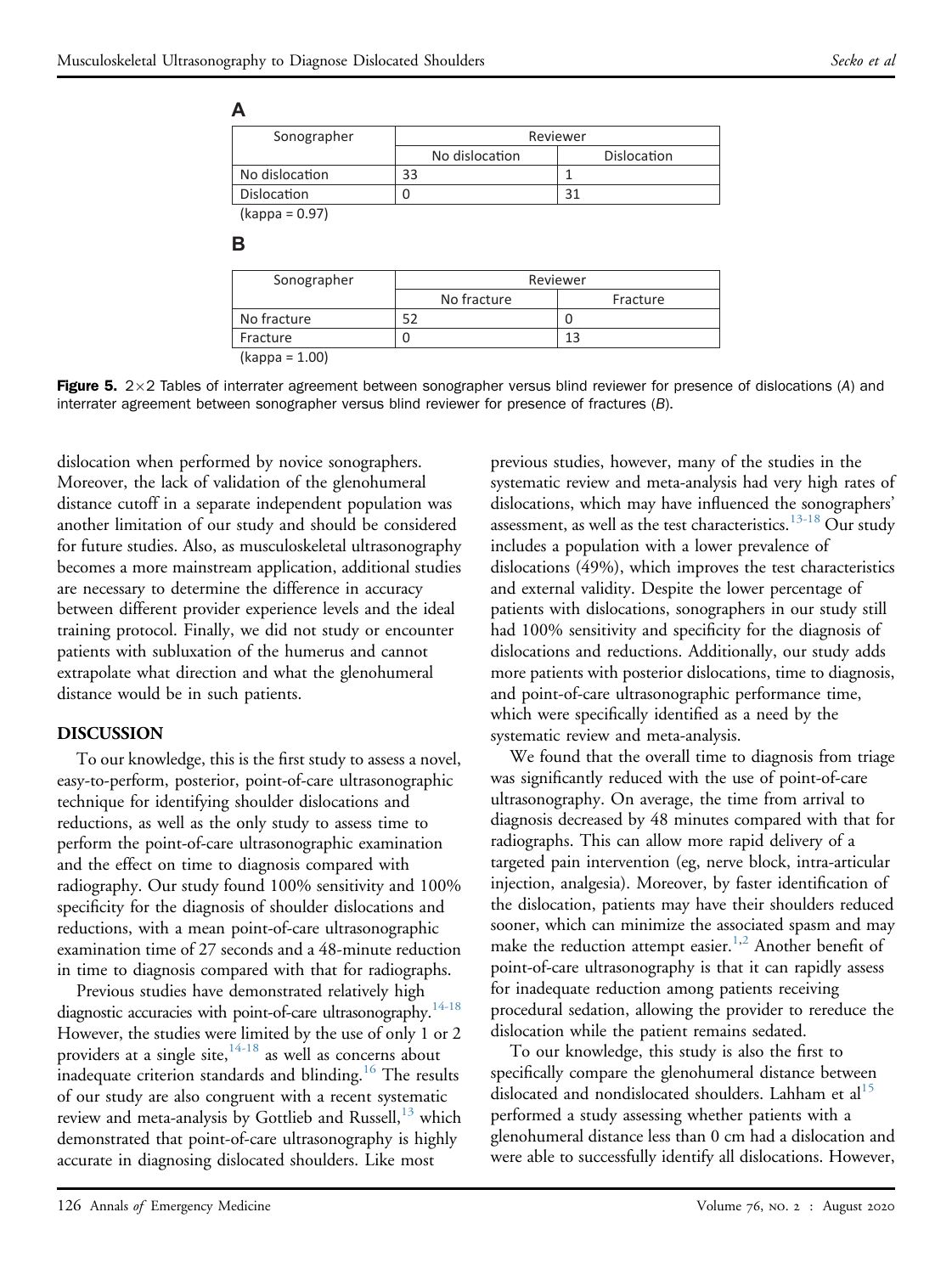<span id="page-7-0"></span>

| Sonographer        |                | Reviewer    |  |
|--------------------|----------------|-------------|--|
|                    | No dislocation | Dislocation |  |
| No dislocation     |                |             |  |
| <b>Dislocation</b> |                |             |  |
| $l_{22222} - 0.07$ |                |             |  |

(kappa = 0.97)

#### **B**

| Sonographer      |             | Reviewer |  |
|------------------|-------------|----------|--|
|                  | No fracture | Fracture |  |
| No fracture      |             |          |  |
| Fracture         |             | 13       |  |
| $(kappa = 1.00)$ |             |          |  |

Figure 5.  $2\times 2$  Tables of interrater agreement between sonographer versus blind reviewer for presence of dislocations (A) and interrater agreement between sonographer versus blind reviewer for presence of fractures (B).

dislocation when performed by novice sonographers. Moreover, the lack of validation of the glenohumeral distance cutoff in a separate independent population was another limitation of our study and should be considered for future studies. Also, as musculoskeletal ultrasonography becomes a more mainstream application, additional studies are necessary to determine the difference in accuracy between different provider experience levels and the ideal training protocol. Finally, we did not study or encounter patients with subluxation of the humerus and cannot extrapolate what direction and what the glenohumeral distance would be in such patients.

#### DISCUSSION

To our knowledge, this is the first study to assess a novel, easy-to-perform, posterior, point-of-care ultrasonographic technique for identifying shoulder dislocations and reductions, as well as the only study to assess time to perform the point-of-care ultrasonographic examination and the effect on time to diagnosis compared with radiography. Our study found 100% sensitivity and 100% specificity for the diagnosis of shoulder dislocations and reductions, with a mean point-of-care ultrasonographic examination time of 27 seconds and a 48-minute reduction in time to diagnosis compared with that for radiographs.

Previous studies have demonstrated relatively high diagnostic accuracies with point-of-care ultrasonography.<sup>14-18</sup> However, the studies were limited by the use of only 1 or 2 providers at a single site, $14-18$  as well as concerns about inadequate criterion standards and blinding.<sup>16</sup> The results of our study are also congruent with a recent systematic review and meta-analysis by Gottlieb and Russell,<sup>[13](#page-9-4)</sup> which demonstrated that point-of-care ultrasonography is highly accurate in diagnosing dislocated shoulders. Like most

previous studies, however, many of the studies in the systematic review and meta-analysis had very high rates of dislocations, which may have influenced the sonographers' assessment, as well as the test characteristics.<sup>[13-18](#page-9-4)</sup> Our study includes a population with a lower prevalence of dislocations (49%), which improves the test characteristics and external validity. Despite the lower percentage of patients with dislocations, sonographers in our study still had 100% sensitivity and specificity for the diagnosis of dislocations and reductions. Additionally, our study adds more patients with posterior dislocations, time to diagnosis, and point-of-care ultrasonographic performance time, which were specifically identified as a need by the systematic review and meta-analysis.

We found that the overall time to diagnosis from triage was significantly reduced with the use of point-of-care ultrasonography. On average, the time from arrival to diagnosis decreased by 48 minutes compared with that for radiographs. This can allow more rapid delivery of a targeted pain intervention (eg, nerve block, intra-articular injection, analgesia). Moreover, by faster identification of the dislocation, patients may have their shoulders reduced sooner, which can minimize the associated spasm and may make the reduction attempt easier.<sup>[1](#page-9-0)[,2](#page-9-1)</sup> Another benefit of point-of-care ultrasonography is that it can rapidly assess for inadequate reduction among patients receiving procedural sedation, allowing the provider to rereduce the dislocation while the patient remains sedated.

To our knowledge, this study is also the first to specifically compare the glenohumeral distance between dislocated and nondislocated shoulders. Lahham et al<sup>[15](#page-9-8)</sup> performed a study assessing whether patients with a glenohumeral distance less than 0 cm had a dislocation and were able to successfully identify all dislocations. However,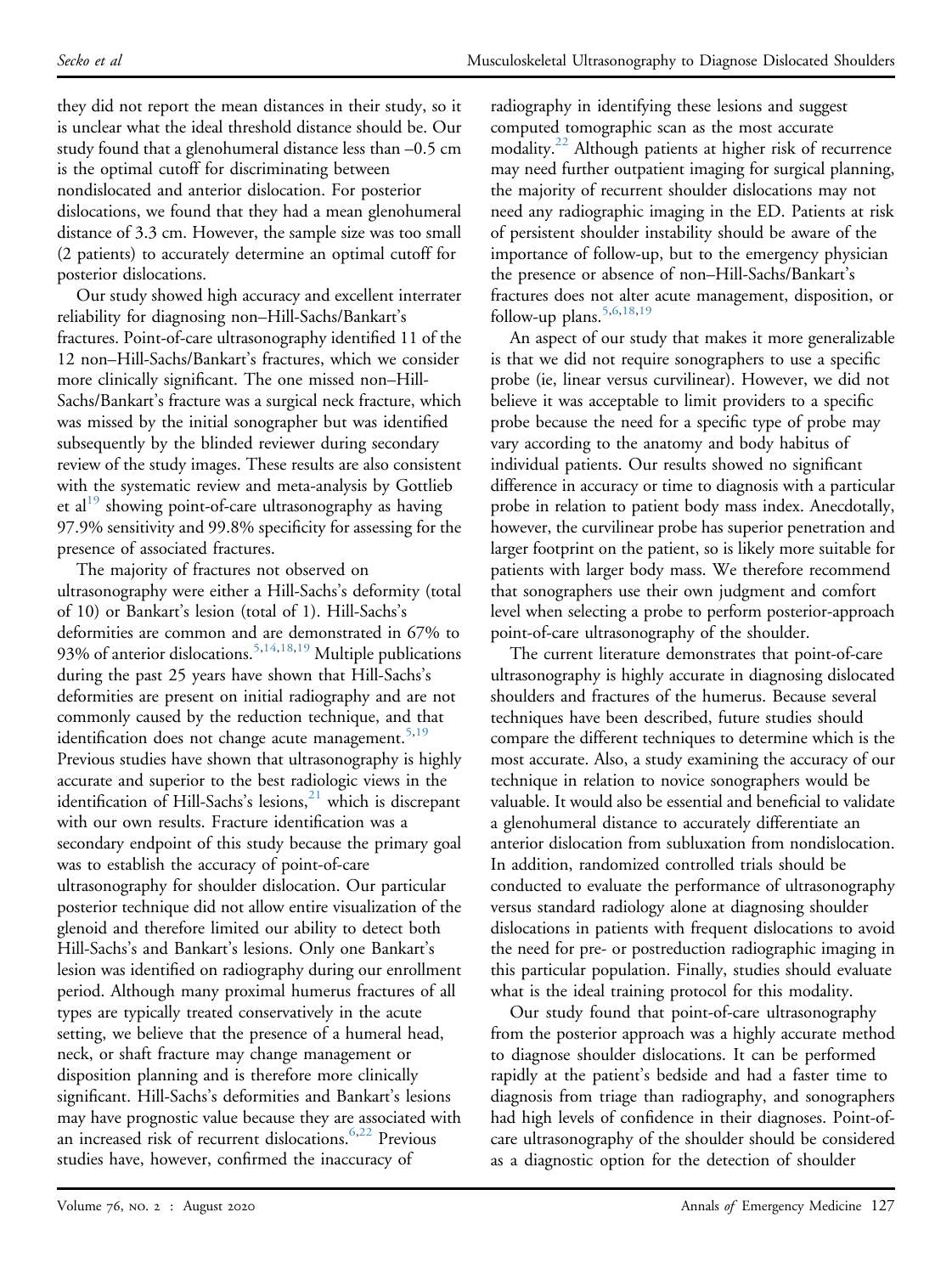they did not report the mean distances in their study, so it is unclear what the ideal threshold distance should be. Our study found that a glenohumeral distance less than –0.5 cm is the optimal cutoff for discriminating between nondislocated and anterior dislocation. For posterior dislocations, we found that they had a mean glenohumeral distance of 3.3 cm. However, the sample size was too small (2 patients) to accurately determine an optimal cutoff for posterior dislocations.

Our study showed high accuracy and excellent interrater reliability for diagnosing non–Hill-Sachs/Bankart's fractures. Point-of-care ultrasonography identified 11 of the 12 non–Hill-Sachs/Bankart's fractures, which we consider more clinically significant. The one missed non–Hill-Sachs/Bankart's fracture was a surgical neck fracture, which was missed by the initial sonographer but was identified subsequently by the blinded reviewer during secondary review of the study images. These results are also consistent with the systematic review and meta-analysis by Gottlieb et al<sup>[19](#page-9-5)</sup> showing point-of-care ultrasonography as having 97.9% sensitivity and 99.8% specificity for assessing for the presence of associated fractures.

The majority of fractures not observed on ultrasonography were either a Hill-Sachs's deformity (total of 10) or Bankart's lesion (total of 1). Hill-Sachs's deformities are common and are demonstrated in 67% to 93% of anterior dislocations.<sup>[5,](#page-9-10)[14](#page-9-6)[,18](#page-9-11)[,19](#page-9-5)</sup> Multiple publications during the past 25 years have shown that Hill-Sachs's deformities are present on initial radiography and are not commonly caused by the reduction technique, and that identification does not change acute management.<sup>[5](#page-9-10)[,19](#page-9-5)</sup> Previous studies have shown that ultrasonography is highly accurate and superior to the best radiologic views in the identification of Hill-Sachs's lesions, $^{21}$  $^{21}$  $^{21}$  which is discrepant with our own results. Fracture identification was a secondary endpoint of this study because the primary goal was to establish the accuracy of point-of-care ultrasonography for shoulder dislocation. Our particular posterior technique did not allow entire visualization of the glenoid and therefore limited our ability to detect both Hill-Sachs's and Bankart's lesions. Only one Bankart's lesion was identified on radiography during our enrollment period. Although many proximal humerus fractures of all types are typically treated conservatively in the acute setting, we believe that the presence of a humeral head, neck, or shaft fracture may change management or disposition planning and is therefore more clinically significant. Hill-Sachs's deformities and Bankart's lesions may have prognostic value because they are associated with an increased risk of recurrent dislocations.<sup>6,[22](#page-9-14)</sup> Previous studies have, however, confirmed the inaccuracy of

radiography in identifying these lesions and suggest computed tomographic scan as the most accurate modality.<sup>22</sup> Although patients at higher risk of recurrence may need further outpatient imaging for surgical planning, the majority of recurrent shoulder dislocations may not need any radiographic imaging in the ED. Patients at risk of persistent shoulder instability should be aware of the importance of follow-up, but to the emergency physician the presence or absence of non–Hill-Sachs/Bankart's fractures does not alter acute management, disposition, or follow-up plans.<sup>[5](#page-9-10)[,6](#page-9-13)[,18,](#page-9-11)[19](#page-9-5)</sup>

An aspect of our study that makes it more generalizable is that we did not require sonographers to use a specific probe (ie, linear versus curvilinear). However, we did not believe it was acceptable to limit providers to a specific probe because the need for a specific type of probe may vary according to the anatomy and body habitus of individual patients. Our results showed no significant difference in accuracy or time to diagnosis with a particular probe in relation to patient body mass index. Anecdotally, however, the curvilinear probe has superior penetration and larger footprint on the patient, so is likely more suitable for patients with larger body mass. We therefore recommend that sonographers use their own judgment and comfort level when selecting a probe to perform posterior-approach point-of-care ultrasonography of the shoulder.

The current literature demonstrates that point-of-care ultrasonography is highly accurate in diagnosing dislocated shoulders and fractures of the humerus. Because several techniques have been described, future studies should compare the different techniques to determine which is the most accurate. Also, a study examining the accuracy of our technique in relation to novice sonographers would be valuable. It would also be essential and beneficial to validate a glenohumeral distance to accurately differentiate an anterior dislocation from subluxation from nondislocation. In addition, randomized controlled trials should be conducted to evaluate the performance of ultrasonography versus standard radiology alone at diagnosing shoulder dislocations in patients with frequent dislocations to avoid the need for pre- or postreduction radiographic imaging in this particular population. Finally, studies should evaluate what is the ideal training protocol for this modality.

Our study found that point-of-care ultrasonography from the posterior approach was a highly accurate method to diagnose shoulder dislocations. It can be performed rapidly at the patient's bedside and had a faster time to diagnosis from triage than radiography, and sonographers had high levels of confidence in their diagnoses. Point-ofcare ultrasonography of the shoulder should be considered as a diagnostic option for the detection of shoulder